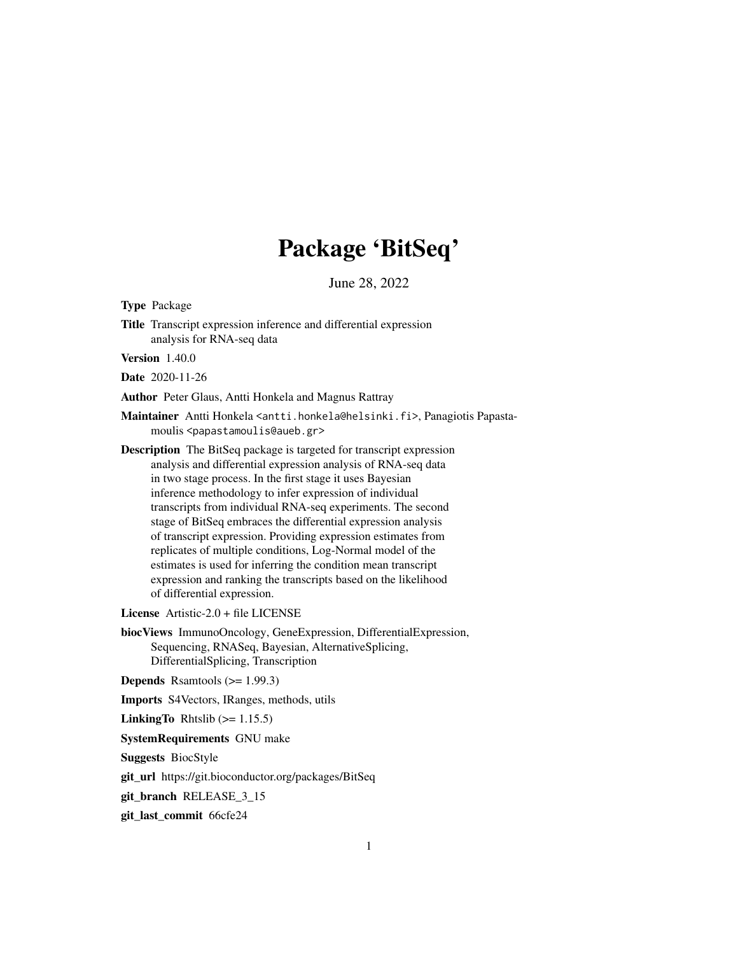# Package 'BitSeq'

June 28, 2022

Type Package

Title Transcript expression inference and differential expression analysis for RNA-seq data

Version 1.40.0

Date 2020-11-26

Author Peter Glaus, Antti Honkela and Magnus Rattray

Maintainer Antti Honkela <antti.honkela@helsinki.fi>, Panagiotis Papastamoulis <papastamoulis@aueb.gr>

Description The BitSeq package is targeted for transcript expression analysis and differential expression analysis of RNA-seq data in two stage process. In the first stage it uses Bayesian inference methodology to infer expression of individual transcripts from individual RNA-seq experiments. The second stage of BitSeq embraces the differential expression analysis of transcript expression. Providing expression estimates from replicates of multiple conditions, Log-Normal model of the estimates is used for inferring the condition mean transcript expression and ranking the transcripts based on the likelihood of differential expression.

License Artistic-2.0 + file LICENSE

biocViews ImmunoOncology, GeneExpression, DifferentialExpression, Sequencing, RNASeq, Bayesian, AlternativeSplicing, DifferentialSplicing, Transcription

Depends Rsamtools (>= 1.99.3)

Imports S4Vectors, IRanges, methods, utils

**LinkingTo** Rhtslib  $(>= 1.15.5)$ 

SystemRequirements GNU make

Suggests BiocStyle

git\_url https://git.bioconductor.org/packages/BitSeq

git\_branch RELEASE\_3\_15

git\_last\_commit 66cfe24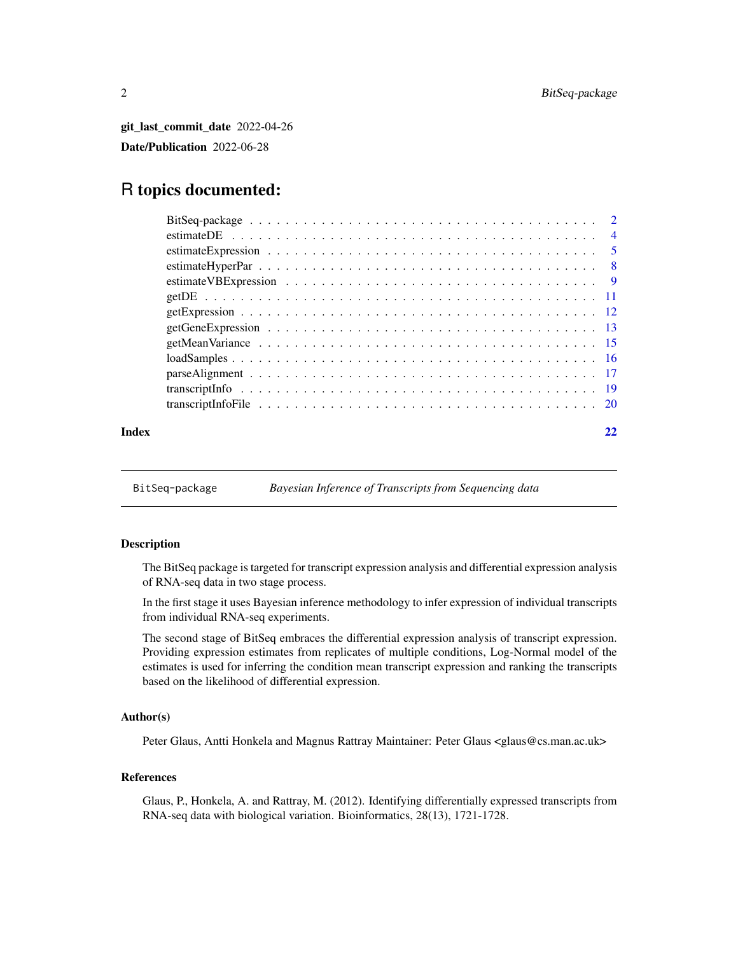<span id="page-1-0"></span>git\_last\_commit\_date 2022-04-26 Date/Publication 2022-06-28

# R topics documented:

| Index |  |
|-------|--|

BitSeq-package *Bayesian Inference of Transcripts from Sequencing data*

# Description

The BitSeq package is targeted for transcript expression analysis and differential expression analysis of RNA-seq data in two stage process.

In the first stage it uses Bayesian inference methodology to infer expression of individual transcripts from individual RNA-seq experiments.

The second stage of BitSeq embraces the differential expression analysis of transcript expression. Providing expression estimates from replicates of multiple conditions, Log-Normal model of the estimates is used for inferring the condition mean transcript expression and ranking the transcripts based on the likelihood of differential expression.

# Author(s)

Peter Glaus, Antti Honkela and Magnus Rattray Maintainer: Peter Glaus <glaus@cs.man.ac.uk>

# References

Glaus, P., Honkela, A. and Rattray, M. (2012). Identifying differentially expressed transcripts from RNA-seq data with biological variation. Bioinformatics, 28(13), 1721-1728.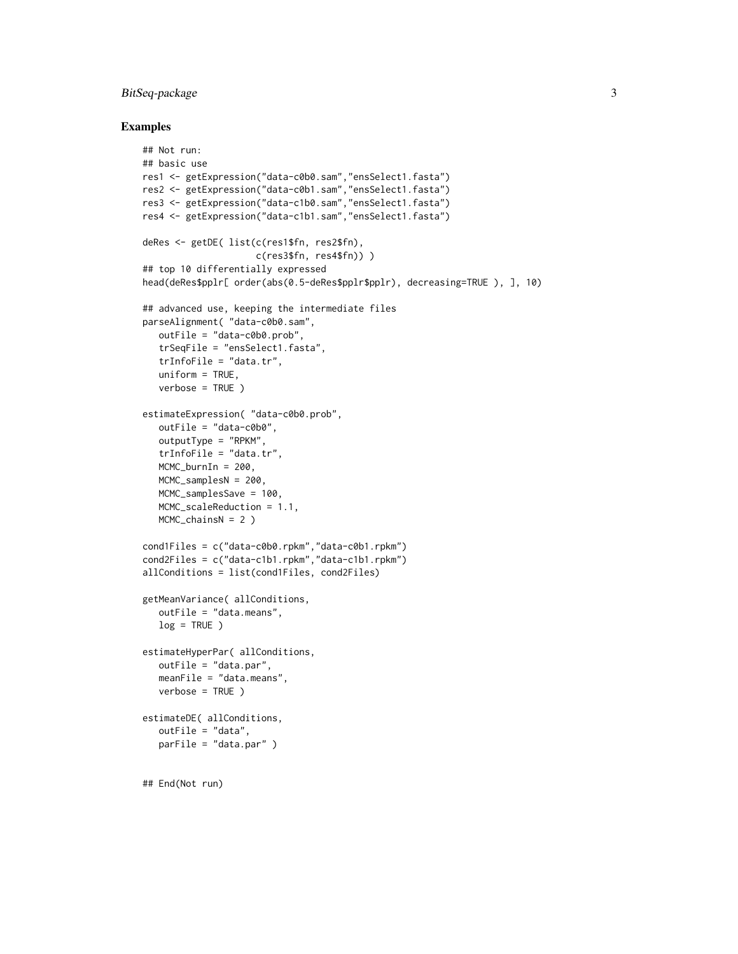# BitSeq-package 3

#### Examples

```
## Not run:
## basic use
res1 <- getExpression("data-c0b0.sam","ensSelect1.fasta")
res2 <- getExpression("data-c0b1.sam","ensSelect1.fasta")
res3 <- getExpression("data-c1b0.sam","ensSelect1.fasta")
res4 <- getExpression("data-c1b1.sam","ensSelect1.fasta")
deRes <- getDE( list(c(res1$fn, res2$fn),
                     c(res3$fn, res4$fn)) )
## top 10 differentially expressed
head(deRes$pplr[ order(abs(0.5-deRes$pplr$pplr), decreasing=TRUE ), ], 10)
## advanced use, keeping the intermediate files
parseAlignment( "data-c0b0.sam",
   outFile = "data-c0b0.prob",
   trSeqFile = "ensSelect1.fasta",
   trInfoFile = "data.tr",
  uniform = TRUE,
   verbose = TRUE )
estimateExpression( "data-c0b0.prob",
   outFile = "data-c0b0",
   outputType = "RPKM",
   trInfoFile = "data.tr",
   MCMC_burnIn = 200,
   MCMC_samplesN = 200,
  MCMC_samplesSave = 100,
  MCMC_scaleReduction = 1.1,
   MCMC_chainsN = 2 )
cond1Files = c("data-c0b0.rpkm","data-c0b1.rpkm")
cond2Files = c("data-c1b1.rpkm","data-c1b1.rpkm")
allConditions = list(cond1Files, cond2Files)
getMeanVariance( allConditions,
  outFile = "data.means",
  log = TRUE)
estimateHyperPar( allConditions,
  outFile = "data.par",
   meanFile = "data.means",
  verbose = TRUE )
estimateDE( allConditions,
   outFile = "data",
   parFile = "data.par" )
## End(Not run)
```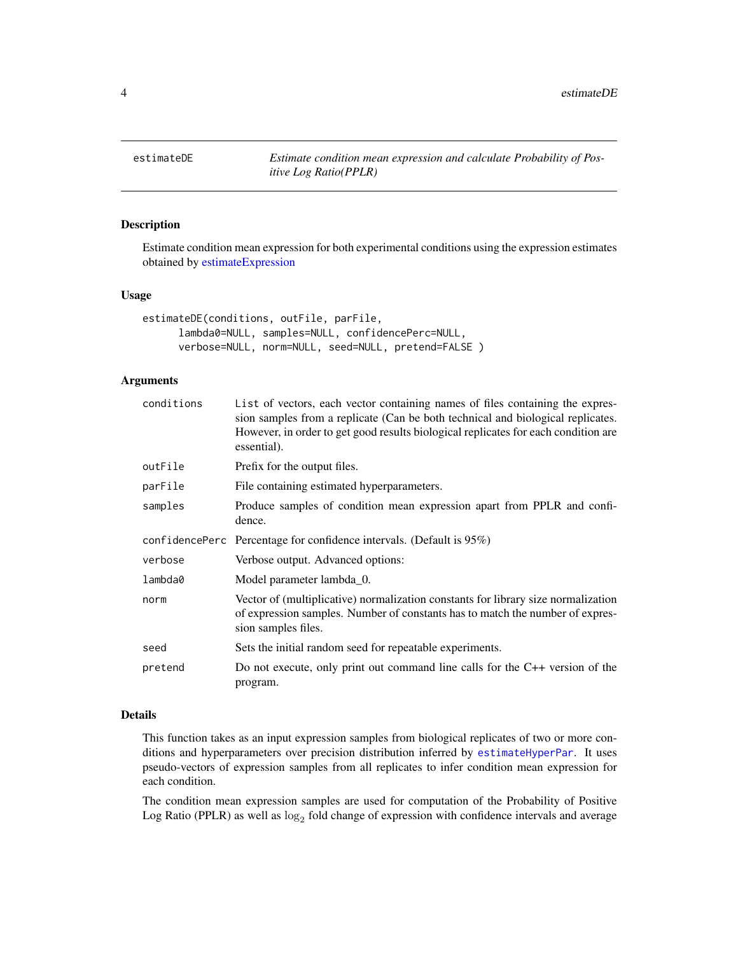<span id="page-3-1"></span><span id="page-3-0"></span>

# Description

Estimate condition mean expression for both experimental conditions using the expression estimates obtained by [estimateExpression](#page-4-1)

#### Usage

```
estimateDE(conditions, outFile, parFile,
     lambda0=NULL, samples=NULL, confidencePerc=NULL,
     verbose=NULL, norm=NULL, seed=NULL, pretend=FALSE )
```
#### Arguments

| conditions | List of vectors, each vector containing names of files containing the expres-<br>sion samples from a replicate (Can be both technical and biological replicates.<br>However, in order to get good results biological replicates for each condition are<br>essential). |
|------------|-----------------------------------------------------------------------------------------------------------------------------------------------------------------------------------------------------------------------------------------------------------------------|
| outFile    | Prefix for the output files.                                                                                                                                                                                                                                          |
| parFile    | File containing estimated hyperparameters.                                                                                                                                                                                                                            |
| samples    | Produce samples of condition mean expression apart from PPLR and confi-<br>dence.                                                                                                                                                                                     |
|            | confidence Percentage for confidence intervals. (Default is $95\%$ )                                                                                                                                                                                                  |
| verbose    | Verbose output. Advanced options:                                                                                                                                                                                                                                     |
| lambda0    | Model parameter lambda_0.                                                                                                                                                                                                                                             |
| norm       | Vector of (multiplicative) normalization constants for library size normalization<br>of expression samples. Number of constants has to match the number of expres-<br>sion samples files.                                                                             |
| seed       | Sets the initial random seed for repeatable experiments.                                                                                                                                                                                                              |
| pretend    | Do not execute, only print out command line calls for the $C++$ version of the<br>program.                                                                                                                                                                            |

# Details

This function takes as an input expression samples from biological replicates of two or more conditions and hyperparameters over precision distribution inferred by [estimateHyperPar](#page-7-1). It uses pseudo-vectors of expression samples from all replicates to infer condition mean expression for each condition.

The condition mean expression samples are used for computation of the Probability of Positive Log Ratio (PPLR) as well as  $log_2$  fold change of expression with confidence intervals and average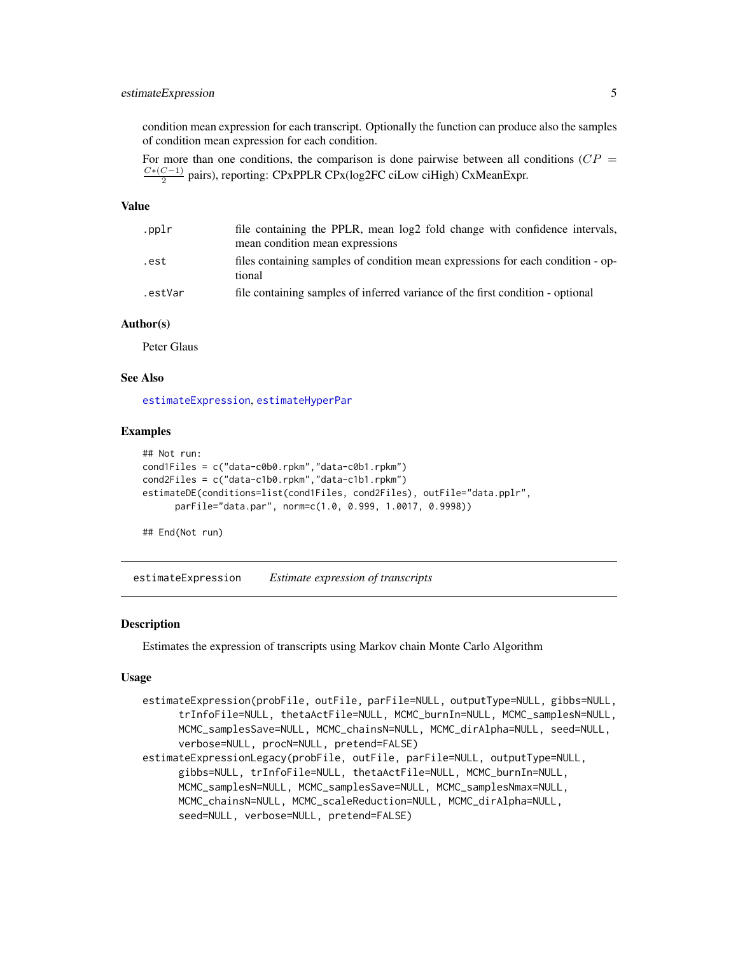# <span id="page-4-0"></span>estimateExpression 5

condition mean expression for each transcript. Optionally the function can produce also the samples of condition mean expression for each condition.

For more than one conditions, the comparison is done pairwise between all conditions ( $CP =$  $C*(C-1)$  $\frac{C-1}{2}$  pairs), reporting: CPxPPLR CPx(log2FC ciLow ciHigh) CxMeanExpr.

#### Value

| .pplr   | file containing the PPLR, mean log2 fold change with confidence intervals,                |
|---------|-------------------------------------------------------------------------------------------|
|         | mean condition mean expressions                                                           |
| .est    | files containing samples of condition mean expressions for each condition - op-<br>tional |
| .estVar | file containing samples of inferred variance of the first condition - optional            |

#### Author(s)

Peter Glaus

#### See Also

[estimateExpression](#page-4-1), [estimateHyperPar](#page-7-1)

#### Examples

```
## Not run:
cond1Files = c("data-c0b0.rpkm","data-c0b1.rpkm")
cond2Files = c("data-c1b0.rpkm","data-c1b1.rpkm")
estimateDE(conditions=list(cond1Files, cond2Files), outFile="data.pplr",
     parFile="data.par", norm=c(1.0, 0.999, 1.0017, 0.9998))
```
## End(Not run)

<span id="page-4-1"></span>estimateExpression *Estimate expression of transcripts*

#### **Description**

Estimates the expression of transcripts using Markov chain Monte Carlo Algorithm

#### Usage

```
estimateExpression(probFile, outFile, parFile=NULL, outputType=NULL, gibbs=NULL,
     trInfoFile=NULL, thetaActFile=NULL, MCMC_burnIn=NULL, MCMC_samplesN=NULL,
     MCMC_samplesSave=NULL, MCMC_chainsN=NULL, MCMC_dirAlpha=NULL, seed=NULL,
     verbose=NULL, procN=NULL, pretend=FALSE)
estimateExpressionLegacy(probFile, outFile, parFile=NULL, outputType=NULL,
     gibbs=NULL, trInfoFile=NULL, thetaActFile=NULL, MCMC_burnIn=NULL,
     MCMC_samplesN=NULL, MCMC_samplesSave=NULL, MCMC_samplesNmax=NULL,
     MCMC_chainsN=NULL, MCMC_scaleReduction=NULL, MCMC_dirAlpha=NULL,
     seed=NULL, verbose=NULL, pretend=FALSE)
```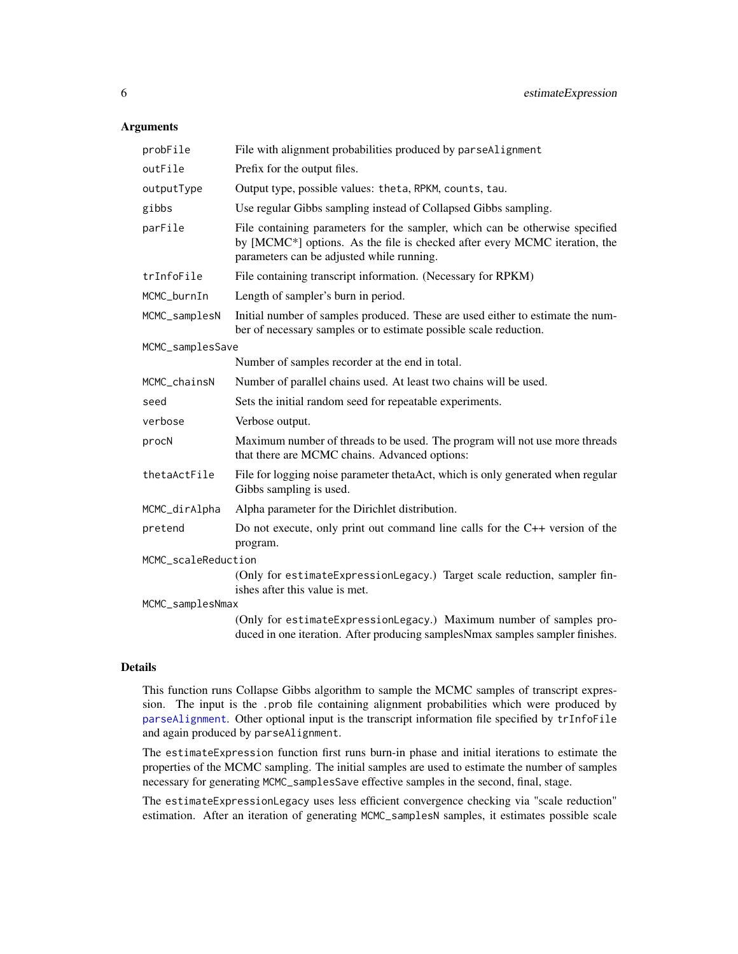#### <span id="page-5-0"></span>Arguments

| probFile            | File with alignment probabilities produced by parseAlignment                                                                                                                                            |
|---------------------|---------------------------------------------------------------------------------------------------------------------------------------------------------------------------------------------------------|
| outFile             | Prefix for the output files.                                                                                                                                                                            |
| outputType          | Output type, possible values: theta, RPKM, counts, tau.                                                                                                                                                 |
| gibbs               | Use regular Gibbs sampling instead of Collapsed Gibbs sampling.                                                                                                                                         |
| parFile             | File containing parameters for the sampler, which can be otherwise specified<br>by [MCMC*] options. As the file is checked after every MCMC iteration, the<br>parameters can be adjusted while running. |
| trInfoFile          | File containing transcript information. (Necessary for RPKM)                                                                                                                                            |
| MCMC_burnIn         | Length of sampler's burn in period.                                                                                                                                                                     |
| MCMC_samplesN       | Initial number of samples produced. These are used either to estimate the num-<br>ber of necessary samples or to estimate possible scale reduction.                                                     |
| MCMC_samplesSave    |                                                                                                                                                                                                         |
|                     | Number of samples recorder at the end in total.                                                                                                                                                         |
| MCMC_chainsN        | Number of parallel chains used. At least two chains will be used.                                                                                                                                       |
| seed                | Sets the initial random seed for repeatable experiments.                                                                                                                                                |
| verbose             | Verbose output.                                                                                                                                                                                         |
| procN               | Maximum number of threads to be used. The program will not use more threads<br>that there are MCMC chains. Advanced options:                                                                            |
| thetaActFile        | File for logging noise parameter thetaAct, which is only generated when regular<br>Gibbs sampling is used.                                                                                              |
| MCMC_dirAlpha       | Alpha parameter for the Dirichlet distribution.                                                                                                                                                         |
| pretend             | Do not execute, only print out command line calls for the $C++$ version of the<br>program.                                                                                                              |
| MCMC_scaleReduction |                                                                                                                                                                                                         |
|                     | (Only for estimateExpressionLegacy.) Target scale reduction, sampler fin-<br>ishes after this value is met.                                                                                             |
| MCMC_samplesNmax    |                                                                                                                                                                                                         |
|                     | (Only for estimateExpressionLegacy.) Maximum number of samples pro-<br>duced in one iteration. After producing samplesNmax samples sampler finishes.                                                    |

#### Details

This function runs Collapse Gibbs algorithm to sample the MCMC samples of transcript expression. The input is the .prob file containing alignment probabilities which were produced by [parseAlignment](#page-16-1). Other optional input is the transcript information file specified by trInfoFile and again produced by parseAlignment.

The estimateExpression function first runs burn-in phase and initial iterations to estimate the properties of the MCMC sampling. The initial samples are used to estimate the number of samples necessary for generating MCMC\_samplesSave effective samples in the second, final, stage.

The estimateExpressionLegacy uses less efficient convergence checking via "scale reduction" estimation. After an iteration of generating MCMC\_samplesN samples, it estimates possible scale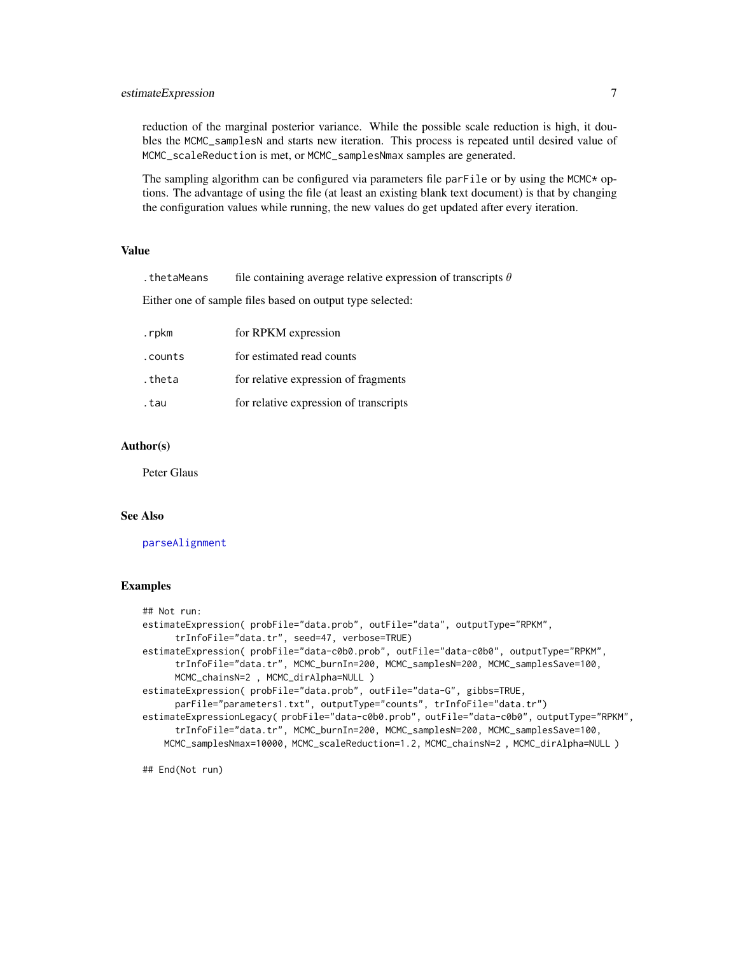#### <span id="page-6-0"></span>estimateExpression 7

reduction of the marginal posterior variance. While the possible scale reduction is high, it doubles the MCMC\_samplesN and starts new iteration. This process is repeated until desired value of MCMC\_scaleReduction is met, or MCMC\_samplesNmax samples are generated.

The sampling algorithm can be configured via parameters file par $F$ ile or by using the MCMC $\star$  options. The advantage of using the file (at least an existing blank text document) is that by changing the configuration values while running, the new values do get updated after every iteration.

#### Value

. the tame and file containing average relative expression of transcripts  $\theta$ 

Either one of sample files based on output type selected:

| .rpkm   | for RPKM expression                    |
|---------|----------------------------------------|
| .counts | for estimated read counts              |
| .theta  | for relative expression of fragments   |
| .tau    | for relative expression of transcripts |

#### Author(s)

Peter Glaus

# See Also

[parseAlignment](#page-16-1)

#### Examples

```
## Not run:
estimateExpression( probFile="data.prob", outFile="data", outputType="RPKM",
      trInfoFile="data.tr", seed=47, verbose=TRUE)
estimateExpression( probFile="data-c0b0.prob", outFile="data-c0b0", outputType="RPKM",
     trInfoFile="data.tr", MCMC_burnIn=200, MCMC_samplesN=200, MCMC_samplesSave=100,
     MCMC_chainsN=2 , MCMC_dirAlpha=NULL )
estimateExpression( probFile="data.prob", outFile="data-G", gibbs=TRUE,
      parFile="parameters1.txt", outputType="counts", trInfoFile="data.tr")
estimateExpressionLegacy( probFile="data-c0b0.prob", outFile="data-c0b0", outputType="RPKM",
      trInfoFile="data.tr", MCMC_burnIn=200, MCMC_samplesN=200, MCMC_samplesSave=100,
   MCMC_samplesNmax=10000, MCMC_scaleReduction=1.2, MCMC_chainsN=2 , MCMC_dirAlpha=NULL )
```
## End(Not run)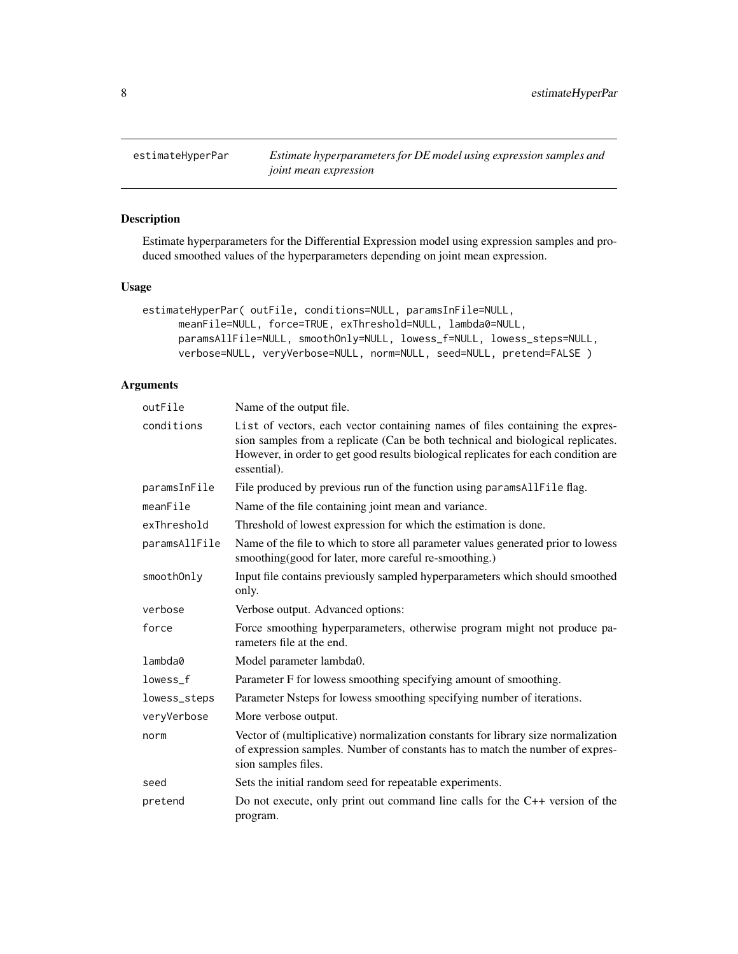<span id="page-7-1"></span><span id="page-7-0"></span>

# Description

Estimate hyperparameters for the Differential Expression model using expression samples and produced smoothed values of the hyperparameters depending on joint mean expression.

## Usage

```
estimateHyperPar( outFile, conditions=NULL, paramsInFile=NULL,
     meanFile=NULL, force=TRUE, exThreshold=NULL, lambda0=NULL,
     paramsAllFile=NULL, smoothOnly=NULL, lowess_f=NULL, lowess_steps=NULL,
     verbose=NULL, veryVerbose=NULL, norm=NULL, seed=NULL, pretend=FALSE )
```

| outFile       | Name of the output file.                                                                                                                                                                                                                                              |
|---------------|-----------------------------------------------------------------------------------------------------------------------------------------------------------------------------------------------------------------------------------------------------------------------|
| conditions    | List of vectors, each vector containing names of files containing the expres-<br>sion samples from a replicate (Can be both technical and biological replicates.<br>However, in order to get good results biological replicates for each condition are<br>essential). |
| paramsInFile  | File produced by previous run of the function using params All File flag.                                                                                                                                                                                             |
| meanFile      | Name of the file containing joint mean and variance.                                                                                                                                                                                                                  |
| exThreshold   | Threshold of lowest expression for which the estimation is done.                                                                                                                                                                                                      |
| paramsAllFile | Name of the file to which to store all parameter values generated prior to lowess<br>smoothing(good for later, more careful re-smoothing.)                                                                                                                            |
| smoothOnly    | Input file contains previously sampled hyperparameters which should smoothed<br>only.                                                                                                                                                                                 |
| verbose       | Verbose output. Advanced options:                                                                                                                                                                                                                                     |
| force         | Force smoothing hyperparameters, otherwise program might not produce pa-<br>rameters file at the end.                                                                                                                                                                 |
| lambda0       | Model parameter lambda0.                                                                                                                                                                                                                                              |
| lowess_f      | Parameter F for lowess smoothing specifying amount of smoothing.                                                                                                                                                                                                      |
| lowess_steps  | Parameter Nsteps for lowess smoothing specifying number of iterations.                                                                                                                                                                                                |
| veryVerbose   | More verbose output.                                                                                                                                                                                                                                                  |
| norm          | Vector of (multiplicative) normalization constants for library size normalization<br>of expression samples. Number of constants has to match the number of expres-<br>sion samples files.                                                                             |
| seed          | Sets the initial random seed for repeatable experiments.                                                                                                                                                                                                              |
| pretend       | Do not execute, only print out command line calls for the $C++$ version of the<br>program.                                                                                                                                                                            |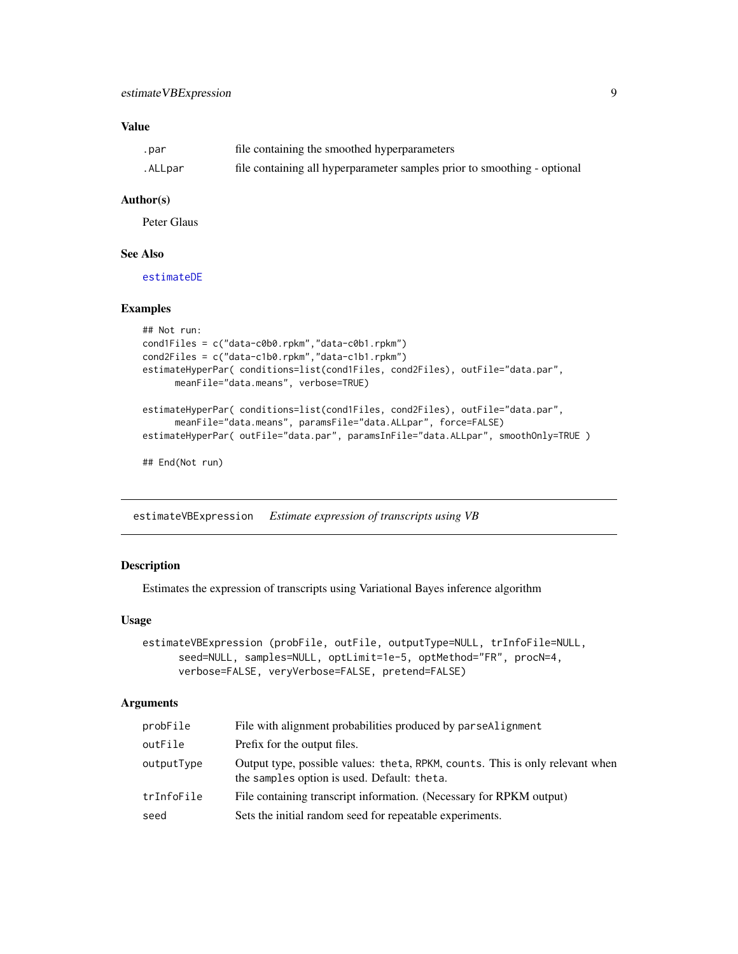#### <span id="page-8-0"></span>Value

| .par    | file containing the smoothed hyperparameters                             |
|---------|--------------------------------------------------------------------------|
| .ALLpar | file containing all hyperparameter samples prior to smoothing - optional |

#### Author(s)

Peter Glaus

#### See Also

[estimateDE](#page-3-1)

#### Examples

```
## Not run:
cond1Files = c("data-c0b0.rpkm","data-c0b1.rpkm")
cond2Files = c("data-c1b0.rpkm","data-c1b1.rpkm")
estimateHyperPar( conditions=list(cond1Files, cond2Files), outFile="data.par",
     meanFile="data.means", verbose=TRUE)
estimateHyperPar( conditions=list(cond1Files, cond2Files), outFile="data.par",
     meanFile="data.means", paramsFile="data.ALLpar", force=FALSE)
estimateHyperPar( outFile="data.par", paramsInFile="data.ALLpar", smoothOnly=TRUE )
## End(Not run)
```
estimateVBExpression *Estimate expression of transcripts using VB*

#### Description

Estimates the expression of transcripts using Variational Bayes inference algorithm

# Usage

```
estimateVBExpression (probFile, outFile, outputType=NULL, trInfoFile=NULL,
     seed=NULL, samples=NULL, optLimit=1e-5, optMethod="FR", procN=4,
     verbose=FALSE, veryVerbose=FALSE, pretend=FALSE)
```

| probFile   | File with alignment probabilities produced by parseAlignment                                                                 |
|------------|------------------------------------------------------------------------------------------------------------------------------|
| outFile    | Prefix for the output files.                                                                                                 |
| outputType | Output type, possible values: theta, RPKM, counts. This is only relevant when<br>the samples option is used. Default: theta. |
| trInfoFile | File containing transcript information. (Necessary for RPKM output)                                                          |
| seed       | Sets the initial random seed for repeatable experiments.                                                                     |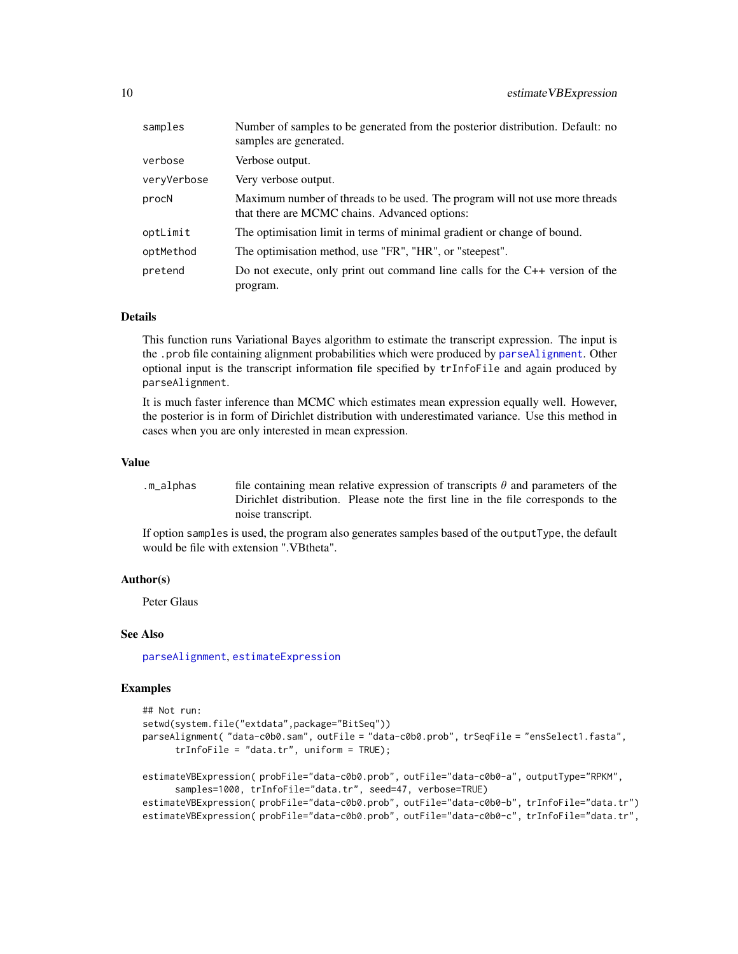<span id="page-9-0"></span>

| samples     | Number of samples to be generated from the posterior distribution. Default: no<br>samples are generated.                     |
|-------------|------------------------------------------------------------------------------------------------------------------------------|
| verbose     | Verbose output.                                                                                                              |
| vervVerbose | Very verbose output.                                                                                                         |
| procN       | Maximum number of threads to be used. The program will not use more threads<br>that there are MCMC chains. Advanced options: |
| optLimit    | The optimisation limit in terms of minimal gradient or change of bound.                                                      |
| optMethod   | The optimisation method, use "FR", "HR", or "steepest".                                                                      |
| pretend     | Do not execute, only print out command line calls for the $C++$ version of the<br>program.                                   |

#### Details

This function runs Variational Bayes algorithm to estimate the transcript expression. The input is the .prob file containing alignment probabilities which were produced by [parseAlignment](#page-16-1). Other optional input is the transcript information file specified by trInfoFile and again produced by parseAlignment.

It is much faster inference than MCMC which estimates mean expression equally well. However, the posterior is in form of Dirichlet distribution with underestimated variance. Use this method in cases when you are only interested in mean expression.

#### Value

.m\_alphas file containing mean relative expression of transcripts  $\theta$  and parameters of the Dirichlet distribution. Please note the first line in the file corresponds to the noise transcript.

If option samples is used, the program also generates samples based of the outputType, the default would be file with extension ".VBtheta".

#### Author(s)

Peter Glaus

#### See Also

[parseAlignment](#page-16-1), [estimateExpression](#page-4-1)

#### Examples

```
## Not run:
setwd(system.file("extdata",package="BitSeq"))
parseAlignment( "data-c0b0.sam", outFile = "data-c0b0.prob", trSeqFile = "ensSelect1.fasta",
      trInfoFile = "data.tr", uniform = TRUE);
estimateVBExpression( probFile="data-c0b0.prob", outFile="data-c0b0-a", outputType="RPKM",
      samples=1000, trInfoFile="data.tr", seed=47, verbose=TRUE)
estimateVBExpression( probFile="data-c0b0.prob", outFile="data-c0b0-b", trInfoFile="data.tr")
estimateVBExpression( probFile="data-c0b0.prob", outFile="data-c0b0-c", trInfoFile="data.tr",
```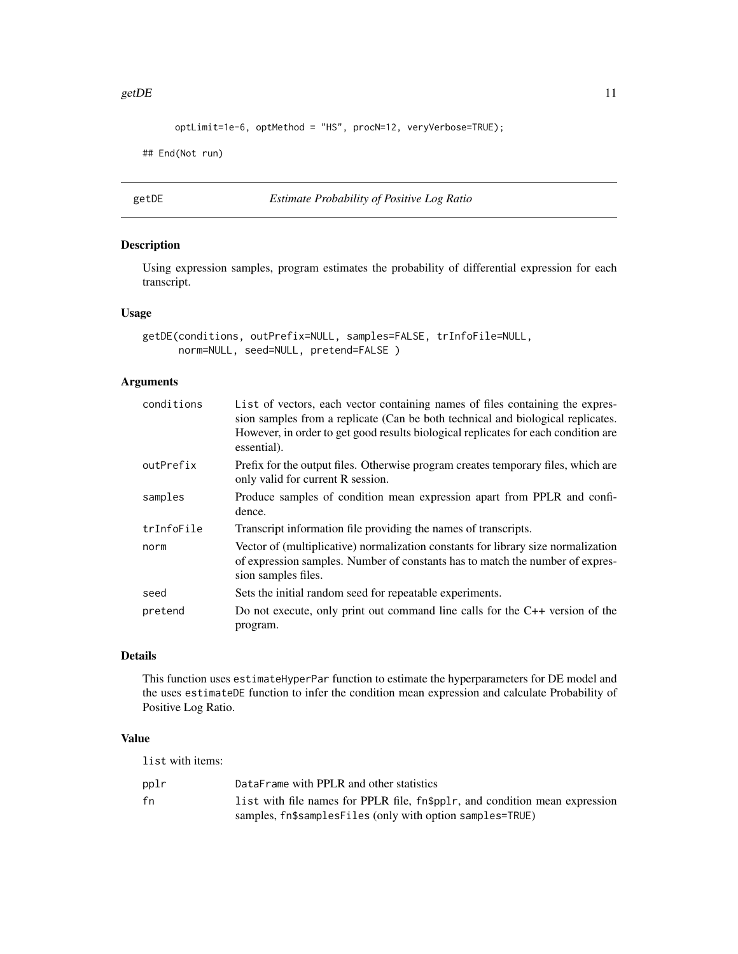#### <span id="page-10-0"></span>getDE  $\qquad 11$

```
optLimit=1e-6, optMethod = "HS", procN=12, veryVerbose=TRUE);
```

```
## End(Not run)
```
<span id="page-10-1"></span>getDE *Estimate Probability of Positive Log Ratio*

# Description

Using expression samples, program estimates the probability of differential expression for each transcript.

# Usage

```
getDE(conditions, outPrefix=NULL, samples=FALSE, trInfoFile=NULL,
     norm=NULL, seed=NULL, pretend=FALSE )
```
# Arguments

| conditions | List of vectors, each vector containing names of files containing the expres-<br>sion samples from a replicate (Can be both technical and biological replicates.<br>However, in order to get good results biological replicates for each condition are<br>essential). |
|------------|-----------------------------------------------------------------------------------------------------------------------------------------------------------------------------------------------------------------------------------------------------------------------|
| outPrefix  | Prefix for the output files. Otherwise program creates temporary files, which are<br>only valid for current R session.                                                                                                                                                |
| samples    | Produce samples of condition mean expression apart from PPLR and confi-<br>dence.                                                                                                                                                                                     |
| trInfoFile | Transcript information file providing the names of transcripts.                                                                                                                                                                                                       |
| norm       | Vector of (multiplicative) normalization constants for library size normalization<br>of expression samples. Number of constants has to match the number of expres-<br>sion samples files.                                                                             |
| seed       | Sets the initial random seed for repeatable experiments.                                                                                                                                                                                                              |
| pretend    | Do not execute, only print out command line calls for the $C++$ version of the<br>program.                                                                                                                                                                            |

# Details

This function uses estimateHyperPar function to estimate the hyperparameters for DE model and the uses estimateDE function to infer the condition mean expression and calculate Probability of Positive Log Ratio.

# Value

list with items:

| pplr | DataFrame with PPLR and other statistics                                    |
|------|-----------------------------------------------------------------------------|
| fn   | list with file names for PPLR file, fn\$pplr, and condition mean expression |
|      | samples, fn\$samplesFiles (only with option samples=TRUE)                   |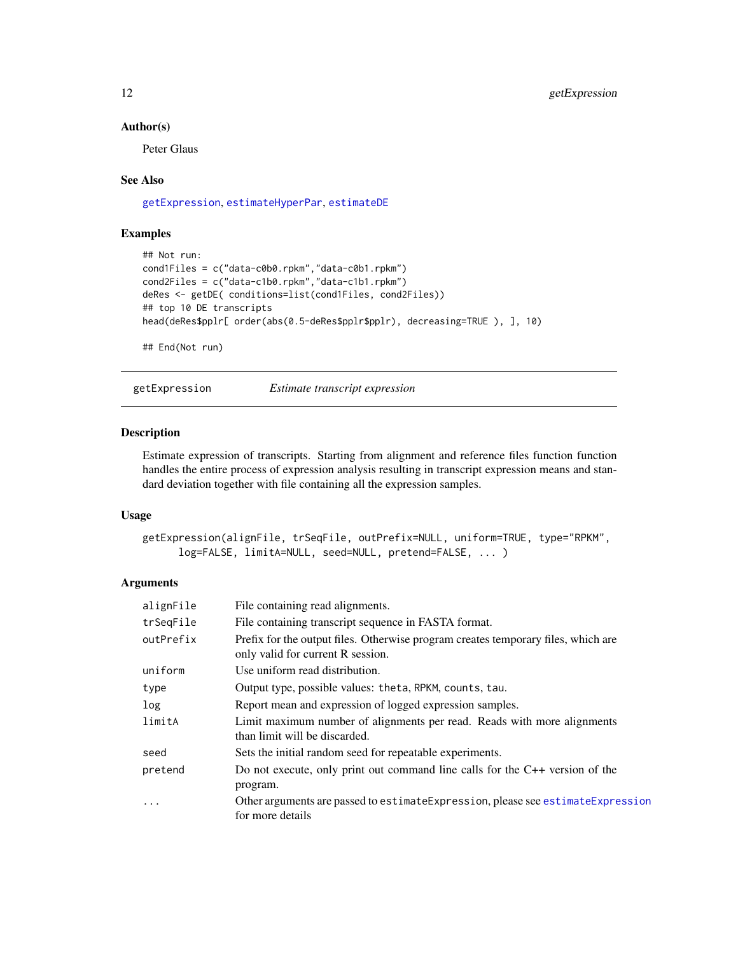#### <span id="page-11-0"></span>Author(s)

Peter Glaus

#### See Also

[getExpression](#page-11-1), [estimateHyperPar](#page-7-1), [estimateDE](#page-3-1)

# Examples

```
## Not run:
cond1Files = c("data-c0b0.rpkm","data-c0b1.rpkm")
cond2Files = c("data-c1b0.rpkm","data-c1b1.rpkm")
deRes <- getDE( conditions=list(cond1Files, cond2Files))
## top 10 DE transcripts
head(deRes$pplr[ order(abs(0.5-deRes$pplr$pplr), decreasing=TRUE ), ], 10)
## End(Not run)
```
<span id="page-11-1"></span>getExpression *Estimate transcript expression*

#### Description

Estimate expression of transcripts. Starting from alignment and reference files function function handles the entire process of expression analysis resulting in transcript expression means and standard deviation together with file containing all the expression samples.

# Usage

```
getExpression(alignFile, trSeqFile, outPrefix=NULL, uniform=TRUE, type="RPKM",
     log=FALSE, limitA=NULL, seed=NULL, pretend=FALSE, ... )
```

| alignFile | File containing read alignments.                                                                                       |
|-----------|------------------------------------------------------------------------------------------------------------------------|
| trSeqFile | File containing transcript sequence in FASTA format.                                                                   |
| outPrefix | Prefix for the output files. Otherwise program creates temporary files, which are<br>only valid for current R session. |
| uniform   | Use uniform read distribution.                                                                                         |
| type      | Output type, possible values: theta, RPKM, counts, tau.                                                                |
| log       | Report mean and expression of logged expression samples.                                                               |
| limitA    | Limit maximum number of alignments per read. Reads with more alignments<br>than limit will be discarded.               |
| seed      | Sets the initial random seed for repeatable experiments.                                                               |
| pretend   | Do not execute, only print out command line calls for the $C++$ version of the<br>program.                             |
| $\cdots$  | Other arguments are passed to estimate Expression, please see estimate Expression<br>for more details                  |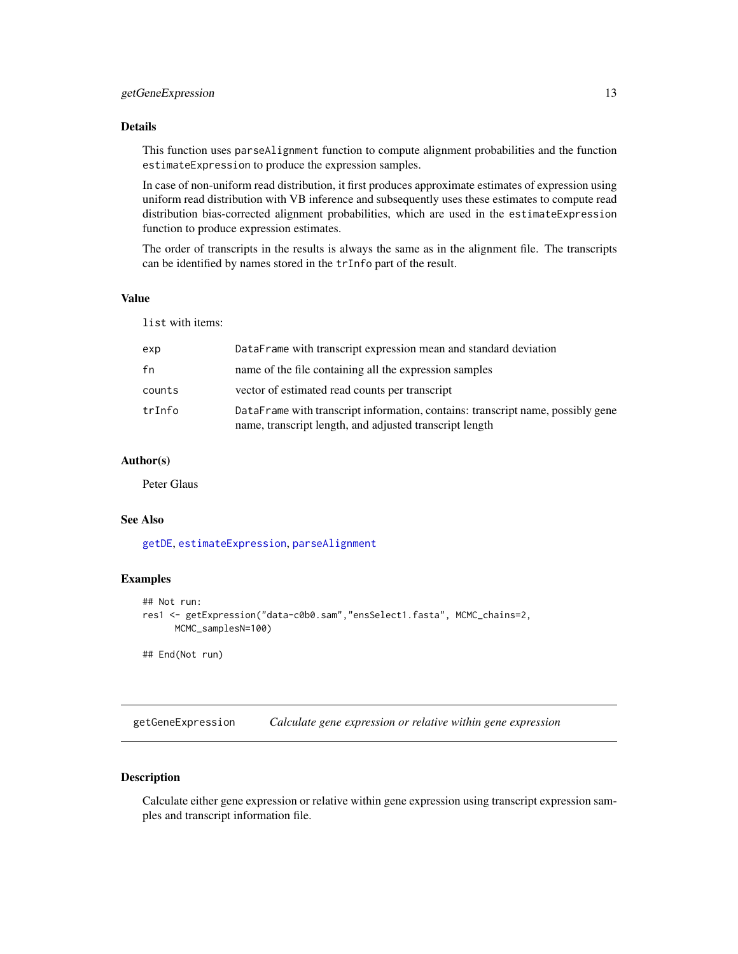#### <span id="page-12-0"></span>Details

This function uses parseAlignment function to compute alignment probabilities and the function estimateExpression to produce the expression samples.

In case of non-uniform read distribution, it first produces approximate estimates of expression using uniform read distribution with VB inference and subsequently uses these estimates to compute read distribution bias-corrected alignment probabilities, which are used in the estimateExpression function to produce expression estimates.

The order of transcripts in the results is always the same as in the alignment file. The transcripts can be identified by names stored in the trInfo part of the result.

#### Value

list with items:

| exp    | DataFrame with transcript expression mean and standard deviation                                                                           |
|--------|--------------------------------------------------------------------------------------------------------------------------------------------|
| fn     | name of the file containing all the expression samples                                                                                     |
| counts | vector of estimated read counts per transcript                                                                                             |
| trInfo | DataFrame with transcript information, contains: transcript name, possibly gene<br>name, transcript length, and adjusted transcript length |

#### Author(s)

Peter Glaus

#### See Also

[getDE](#page-10-1), [estimateExpression](#page-4-1), [parseAlignment](#page-16-1)

#### Examples

```
## Not run:
res1 <- getExpression("data-c0b0.sam","ensSelect1.fasta", MCMC_chains=2,
     MCMC_samplesN=100)
## End(Not run)
```
<span id="page-12-1"></span>getGeneExpression *Calculate gene expression or relative within gene expression*

# Description

Calculate either gene expression or relative within gene expression using transcript expression samples and transcript information file.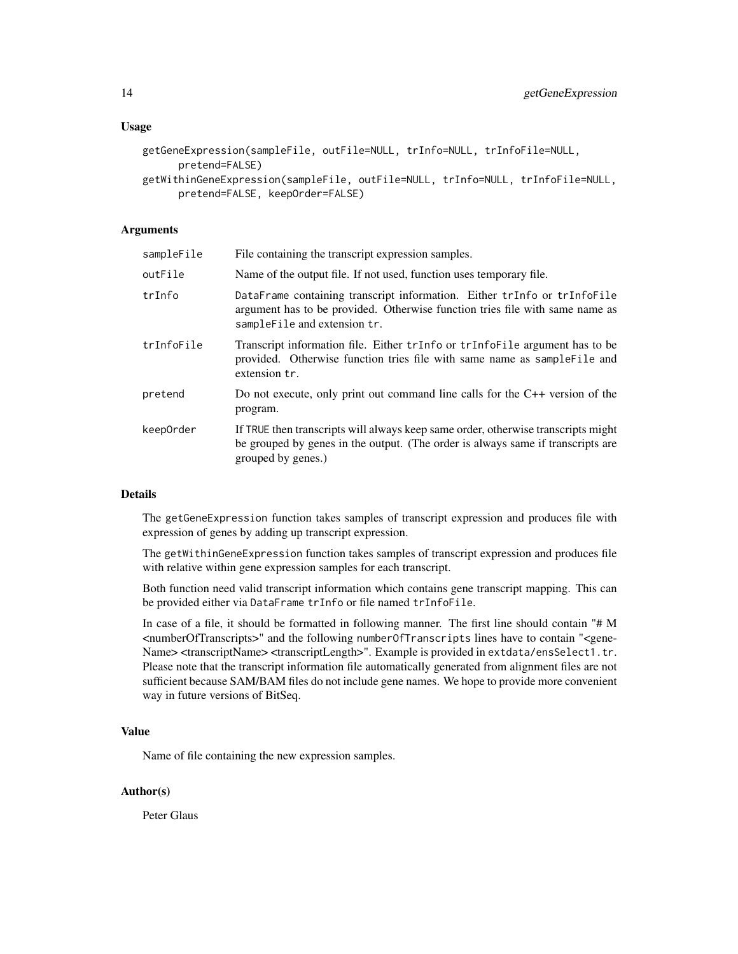#### Usage

```
getGeneExpression(sampleFile, outFile=NULL, trInfo=NULL, trInfoFile=NULL,
     pretend=FALSE)
```

```
getWithinGeneExpression(sampleFile, outFile=NULL, trInfo=NULL, trInfoFile=NULL,
     pretend=FALSE, keepOrder=FALSE)
```
#### Arguments

| sampleFile | File containing the transcript expression samples.                                                                                                                                         |
|------------|--------------------------------------------------------------------------------------------------------------------------------------------------------------------------------------------|
| outFile    | Name of the output file. If not used, function uses temporary file.                                                                                                                        |
| trInfo     | DataFrame containing transcript information. Either trInfo or trInfoFile<br>argument has to be provided. Otherwise function tries file with same name as<br>sampleFile and extension tr.   |
| trInfoFile | Transcript information file. Either trInfo or trInfoFile argument has to be<br>provided. Otherwise function tries file with same name as sampleFile and<br>extension tr.                   |
| pretend    | Do not execute, only print out command line calls for the $C++$ version of the<br>program.                                                                                                 |
| keep0rder  | If TRUE then transcripts will always keep same order, otherwise transcripts might<br>be grouped by genes in the output. (The order is always same if transcripts are<br>grouped by genes.) |

#### **Details**

The getGeneExpression function takes samples of transcript expression and produces file with expression of genes by adding up transcript expression.

The getWithinGeneExpression function takes samples of transcript expression and produces file with relative within gene expression samples for each transcript.

Both function need valid transcript information which contains gene transcript mapping. This can be provided either via DataFrame trInfo or file named trInfoFile.

In case of a file, it should be formatted in following manner. The first line should contain "# M <numberOfTranscripts>" and the following numberOfTranscripts lines have to contain "<gene-Name> <transcriptName> <transcriptLength>". Example is provided in extdata/ensSelect1.tr. Please note that the transcript information file automatically generated from alignment files are not sufficient because SAM/BAM files do not include gene names. We hope to provide more convenient way in future versions of BitSeq.

#### Value

Name of file containing the new expression samples.

#### Author(s)

Peter Glaus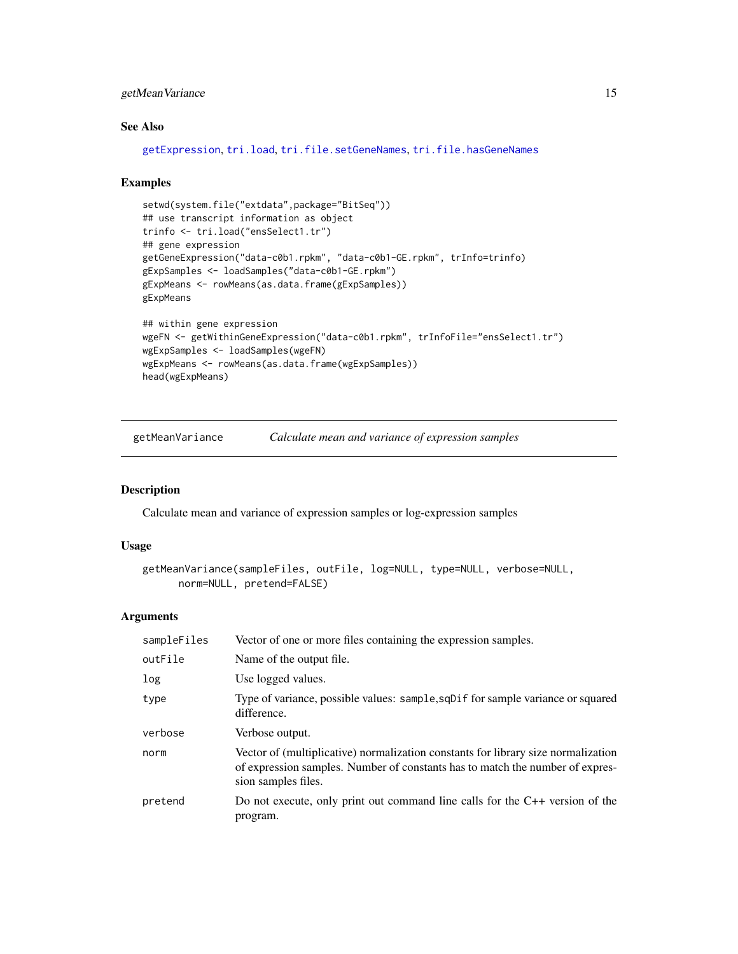# <span id="page-14-0"></span>getMeanVariance 15

# See Also

```
getExpression, tri.load, tri.file.setGeneNames, tri.file.hasGeneNames
```
#### Examples

```
setwd(system.file("extdata",package="BitSeq"))
## use transcript information as object
trinfo <- tri.load("ensSelect1.tr")
## gene expression
getGeneExpression("data-c0b1.rpkm", "data-c0b1-GE.rpkm", trInfo=trinfo)
gExpSamples <- loadSamples("data-c0b1-GE.rpkm")
gExpMeans <- rowMeans(as.data.frame(gExpSamples))
gExpMeans
## within gene expression
```

```
wgeFN <- getWithinGeneExpression("data-c0b1.rpkm", trInfoFile="ensSelect1.tr")
wgExpSamples <- loadSamples(wgeFN)
wgExpMeans <- rowMeans(as.data.frame(wgExpSamples))
head(wgExpMeans)
```
getMeanVariance *Calculate mean and variance of expression samples*

# Description

Calculate mean and variance of expression samples or log-expression samples

#### Usage

```
getMeanVariance(sampleFiles, outFile, log=NULL, type=NULL, verbose=NULL,
      norm=NULL, pretend=FALSE)
```

| sampleFiles | Vector of one or more files containing the expression samples.                                                                                                                            |
|-------------|-------------------------------------------------------------------------------------------------------------------------------------------------------------------------------------------|
| outFile     | Name of the output file.                                                                                                                                                                  |
| log         | Use logged values.                                                                                                                                                                        |
| type        | Type of variance, possible values: sample, sqDif for sample variance or squared<br>difference.                                                                                            |
| verbose     | Verbose output.                                                                                                                                                                           |
| norm        | Vector of (multiplicative) normalization constants for library size normalization<br>of expression samples. Number of constants has to match the number of expres-<br>sion samples files. |
| pretend     | Do not execute, only print out command line calls for the $C++$ version of the<br>program.                                                                                                |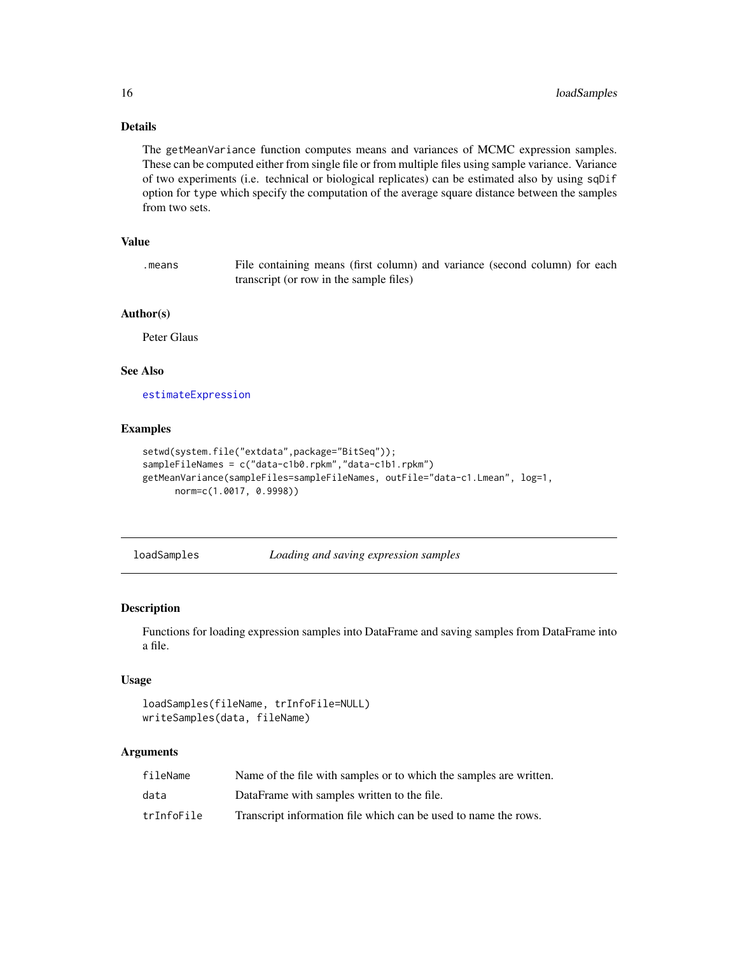# Details

The getMeanVariance function computes means and variances of MCMC expression samples. These can be computed either from single file or from multiple files using sample variance. Variance of two experiments (i.e. technical or biological replicates) can be estimated also by using sqDif option for type which specify the computation of the average square distance between the samples from two sets.

#### Value

.means File containing means (first column) and variance (second column) for each transcript (or row in the sample files)

#### Author(s)

Peter Glaus

# See Also

[estimateExpression](#page-4-1)

#### Examples

```
setwd(system.file("extdata",package="BitSeq"));
sampleFileNames = c("data-c1b0.rpkm","data-c1b1.rpkm")
getMeanVariance(sampleFiles=sampleFileNames, outFile="data-c1.Lmean", log=1,
     norm=c(1.0017, 0.9998))
```
loadSamples *Loading and saving expression samples*

#### Description

Functions for loading expression samples into DataFrame and saving samples from DataFrame into a file.

#### Usage

```
loadSamples(fileName, trInfoFile=NULL)
writeSamples(data, fileName)
```

| fileName   | Name of the file with samples or to which the samples are written. |
|------------|--------------------------------------------------------------------|
| data       | DataFrame with samples written to the file.                        |
| trInfoFile | Transcript information file which can be used to name the rows.    |

<span id="page-15-0"></span>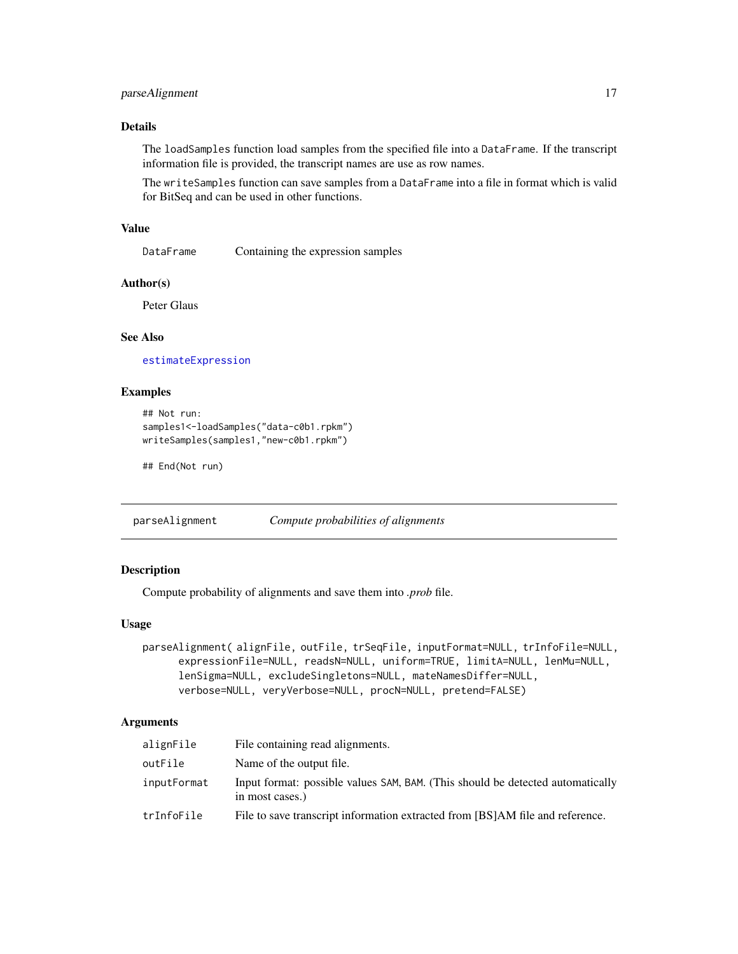# <span id="page-16-0"></span>parseAlignment 17

# Details

The loadSamples function load samples from the specified file into a DataFrame. If the transcript information file is provided, the transcript names are use as row names.

The writeSamples function can save samples from a DataFrame into a file in format which is valid for BitSeq and can be used in other functions.

#### Value

DataFrame Containing the expression samples

# Author(s)

Peter Glaus

# See Also

[estimateExpression](#page-4-1)

# Examples

```
## Not run:
samples1<-loadSamples("data-c0b1.rpkm")
writeSamples(samples1,"new-c0b1.rpkm")
```
## End(Not run)

<span id="page-16-1"></span>parseAlignment *Compute probabilities of alignments*

# Description

Compute probability of alignments and save them into *.prob* file.

#### Usage

```
parseAlignment( alignFile, outFile, trSeqFile, inputFormat=NULL, trInfoFile=NULL,
     expressionFile=NULL, readsN=NULL, uniform=TRUE, limitA=NULL, lenMu=NULL,
     lenSigma=NULL, excludeSingletons=NULL, mateNamesDiffer=NULL,
     verbose=NULL, veryVerbose=NULL, procN=NULL, pretend=FALSE)
```

| alignFile   | File containing read alignments.                                                                  |
|-------------|---------------------------------------------------------------------------------------------------|
| outFile     | Name of the output file.                                                                          |
| inputFormat | Input format: possible values SAM, BAM. (This should be detected automatically<br>in most cases.) |
| trInfoFile  | File to save transcript information extracted from [BS]AM file and reference.                     |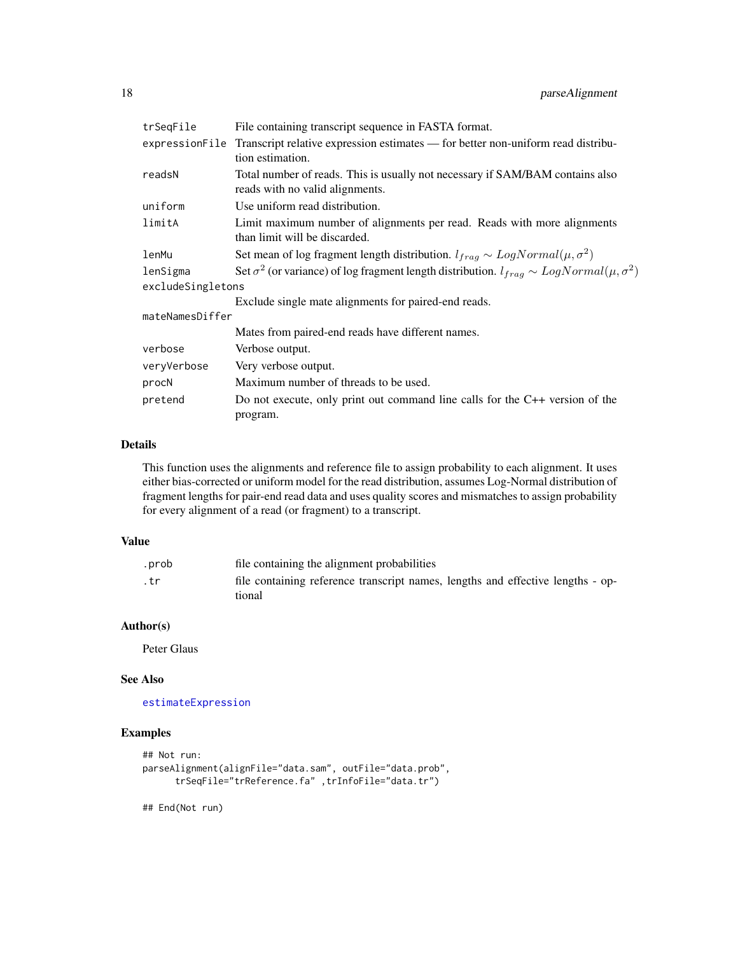<span id="page-17-0"></span>

| trSeqFile         | File containing transcript sequence in FASTA format.                                                             |
|-------------------|------------------------------------------------------------------------------------------------------------------|
|                   | expression File Transcript relative expression estimates — for better non-uniform read distribu-                 |
|                   | tion estimation.                                                                                                 |
| readsN            | Total number of reads. This is usually not necessary if SAM/BAM contains also<br>reads with no valid alignments. |
| uniform           | Use uniform read distribution.                                                                                   |
| limitA            | Limit maximum number of alignments per read. Reads with more alignments<br>than limit will be discarded.         |
| lenMu             | Set mean of log fragment length distribution. $l_{frag} \sim LogNormal(\mu, \sigma^2)$                           |
| lenSigma          | Set $\sigma^2$ (or variance) of log fragment length distribution. $l_{frag} \sim LogNormal(\mu, \sigma^2)$       |
| excludeSingletons |                                                                                                                  |
|                   | Exclude single mate alignments for paired-end reads.                                                             |
| mateNamesDiffer   |                                                                                                                  |
|                   | Mates from paired-end reads have different names.                                                                |
| verbose           | Verbose output.                                                                                                  |
| veryVerbose       | Very verbose output.                                                                                             |
| procN             | Maximum number of threads to be used.                                                                            |
| pretend           | Do not execute, only print out command line calls for the $C++$ version of the<br>program.                       |

# Details

This function uses the alignments and reference file to assign probability to each alignment. It uses either bias-corrected or uniform model for the read distribution, assumes Log-Normal distribution of fragment lengths for pair-end read data and uses quality scores and mismatches to assign probability for every alignment of a read (or fragment) to a transcript.

# Value

| .prob | file containing the alignment probabilities                                     |
|-------|---------------------------------------------------------------------------------|
| . tr  | file containing reference transcript names, lengths and effective lengths - op- |
|       | tional                                                                          |

#### Author(s)

Peter Glaus

#### See Also

[estimateExpression](#page-4-1)

# Examples

```
## Not run:
parseAlignment(alignFile="data.sam", outFile="data.prob",
     trSeqFile="trReference.fa" ,trInfoFile="data.tr")
```
## End(Not run)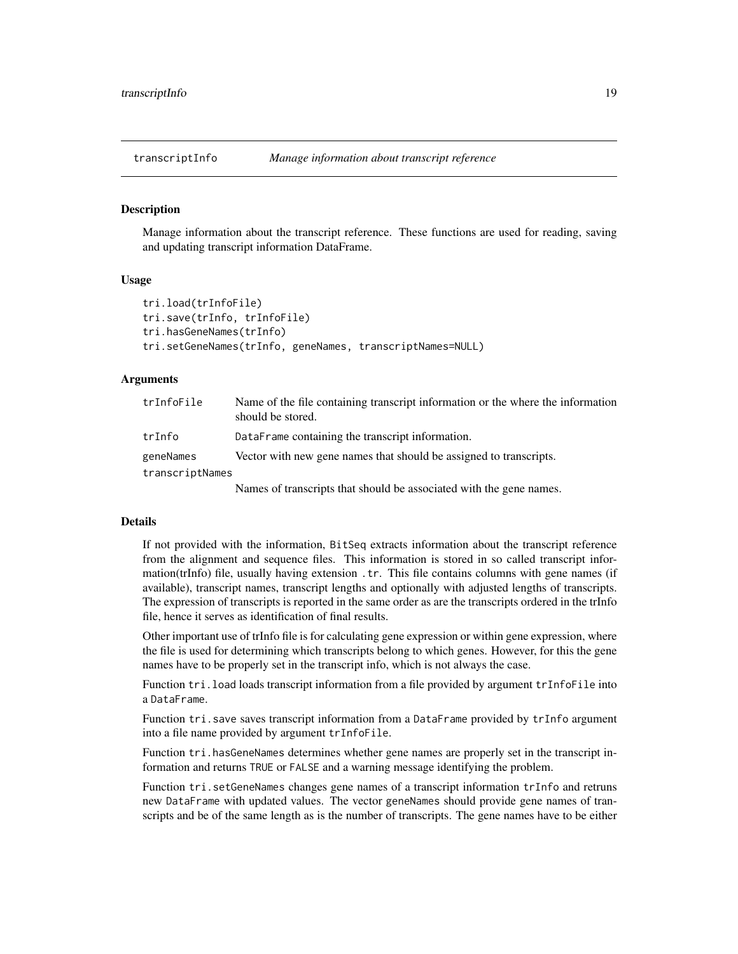<span id="page-18-0"></span>

# <span id="page-18-1"></span>Description

Manage information about the transcript reference. These functions are used for reading, saving and updating transcript information DataFrame.

#### Usage

```
tri.load(trInfoFile)
tri.save(trInfo, trInfoFile)
tri.hasGeneNames(trInfo)
tri.setGeneNames(trInfo, geneNames, transcriptNames=NULL)
```
#### **Arguments**

| trInfoFile      | Name of the file containing transcript information or the where the information<br>should be stored. |
|-----------------|------------------------------------------------------------------------------------------------------|
| trInfo          | DataFrame containing the transcript information.                                                     |
| geneNames       | Vector with new gene names that should be assigned to transcripts.                                   |
| transcriptNames |                                                                                                      |
|                 | Names of transcripts that should be associated with the gene names.                                  |

#### Details

If not provided with the information, BitSeq extracts information about the transcript reference from the alignment and sequence files. This information is stored in so called transcript information(trInfo) file, usually having extension .tr. This file contains columns with gene names (if available), transcript names, transcript lengths and optionally with adjusted lengths of transcripts. The expression of transcripts is reported in the same order as are the transcripts ordered in the trInfo file, hence it serves as identification of final results.

Other important use of trInfo file is for calculating gene expression or within gene expression, where the file is used for determining which transcripts belong to which genes. However, for this the gene names have to be properly set in the transcript info, which is not always the case.

Function tri.load loads transcript information from a file provided by argument trInfoFile into a DataFrame.

Function tri.save saves transcript information from a DataFrame provided by trInfo argument into a file name provided by argument trInfoFile.

Function tri.hasGeneNames determines whether gene names are properly set in the transcript information and returns TRUE or FALSE and a warning message identifying the problem.

Function tri.setGeneNames changes gene names of a transcript information trInfo and retruns new DataFrame with updated values. The vector geneNames should provide gene names of transcripts and be of the same length as is the number of transcripts. The gene names have to be either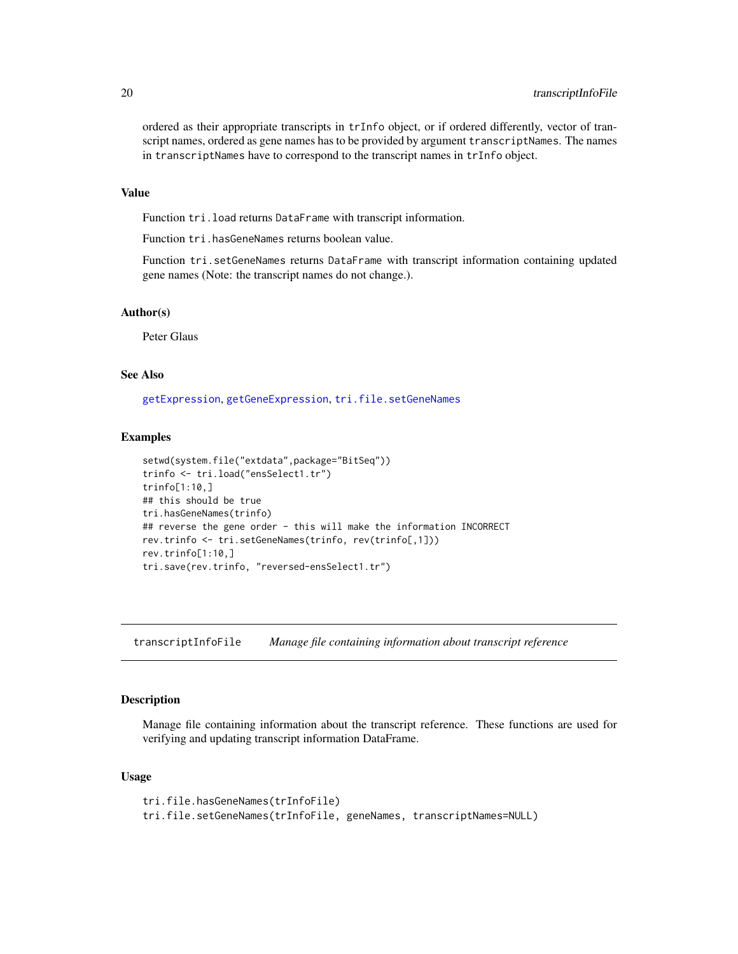ordered as their appropriate transcripts in trInfo object, or if ordered differently, vector of transcript names, ordered as gene names has to be provided by argument transcriptNames. The names in transcriptNames have to correspond to the transcript names in trInfo object.

#### Value

Function tri.load returns DataFrame with transcript information.

Function tri.hasGeneNames returns boolean value.

Function tri.setGeneNames returns DataFrame with transcript information containing updated gene names (Note: the transcript names do not change.).

# Author(s)

Peter Glaus

# See Also

[getExpression](#page-11-1), [getGeneExpression](#page-12-1), [tri.file.setGeneNames](#page-19-1)

# Examples

```
setwd(system.file("extdata",package="BitSeq"))
trinfo <- tri.load("ensSelect1.tr")
trinfo[1:10,]
## this should be true
tri.hasGeneNames(trinfo)
## reverse the gene order - this will make the information INCORRECT
rev.trinfo <- tri.setGeneNames(trinfo, rev(trinfo[,1]))
rev.trinfo[1:10,]
tri.save(rev.trinfo, "reversed-ensSelect1.tr")
```
transcriptInfoFile *Manage file containing information about transcript reference*

#### <span id="page-19-1"></span>Description

Manage file containing information about the transcript reference. These functions are used for verifying and updating transcript information DataFrame.

#### Usage

```
tri.file.hasGeneNames(trInfoFile)
tri.file.setGeneNames(trInfoFile, geneNames, transcriptNames=NULL)
```
<span id="page-19-0"></span>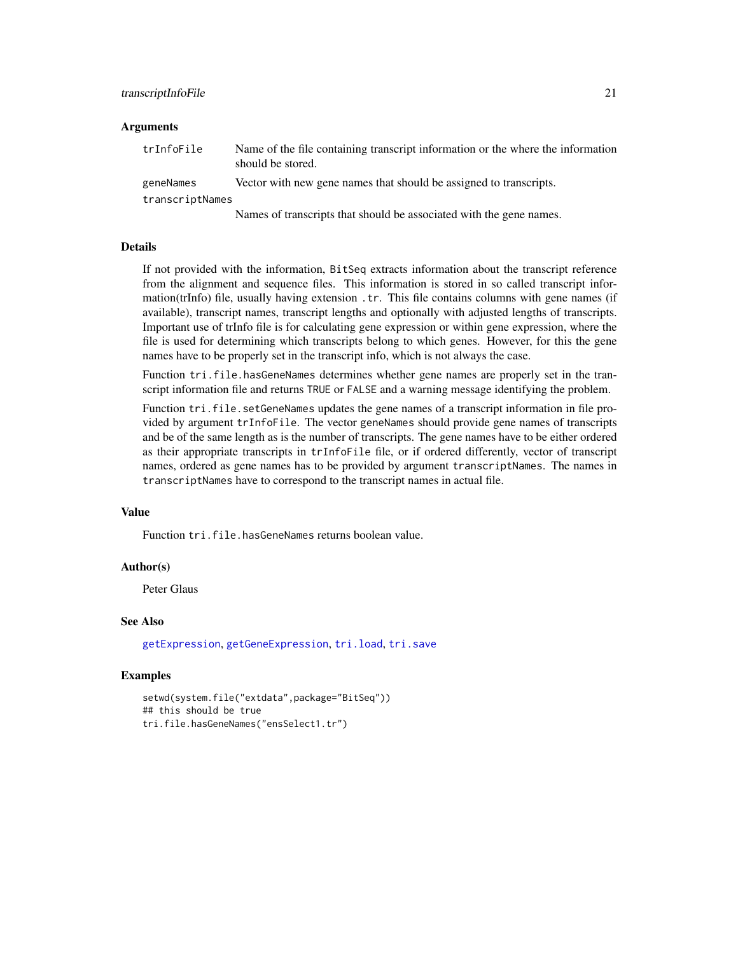#### <span id="page-20-0"></span>transcriptInfoFile 21

#### Arguments

| trInfoFile      | Name of the file containing transcript information or the where the information<br>should be stored. |
|-----------------|------------------------------------------------------------------------------------------------------|
| geneNames       | Vector with new gene names that should be assigned to transcripts.                                   |
| transcriptNames |                                                                                                      |
|                 |                                                                                                      |

Names of transcripts that should be associated with the gene names.

# Details

If not provided with the information, BitSeq extracts information about the transcript reference from the alignment and sequence files. This information is stored in so called transcript information(trInfo) file, usually having extension .tr. This file contains columns with gene names (if available), transcript names, transcript lengths and optionally with adjusted lengths of transcripts. Important use of trInfo file is for calculating gene expression or within gene expression, where the file is used for determining which transcripts belong to which genes. However, for this the gene names have to be properly set in the transcript info, which is not always the case.

Function tri.file.hasGeneNames determines whether gene names are properly set in the transcript information file and returns TRUE or FALSE and a warning message identifying the problem.

Function tri.file.setGeneNames updates the gene names of a transcript information in file provided by argument trInfoFile. The vector geneNames should provide gene names of transcripts and be of the same length as is the number of transcripts. The gene names have to be either ordered as their appropriate transcripts in trInfoFile file, or if ordered differently, vector of transcript names, ordered as gene names has to be provided by argument transcriptNames. The names in transcriptNames have to correspond to the transcript names in actual file.

#### Value

Function tri.file.hasGeneNames returns boolean value.

#### Author(s)

Peter Glaus

#### See Also

[getExpression](#page-11-1), [getGeneExpression](#page-12-1), [tri.load](#page-18-1), [tri.save](#page-18-1)

#### Examples

```
setwd(system.file("extdata",package="BitSeq"))
## this should be true
tri.file.hasGeneNames("ensSelect1.tr")
```